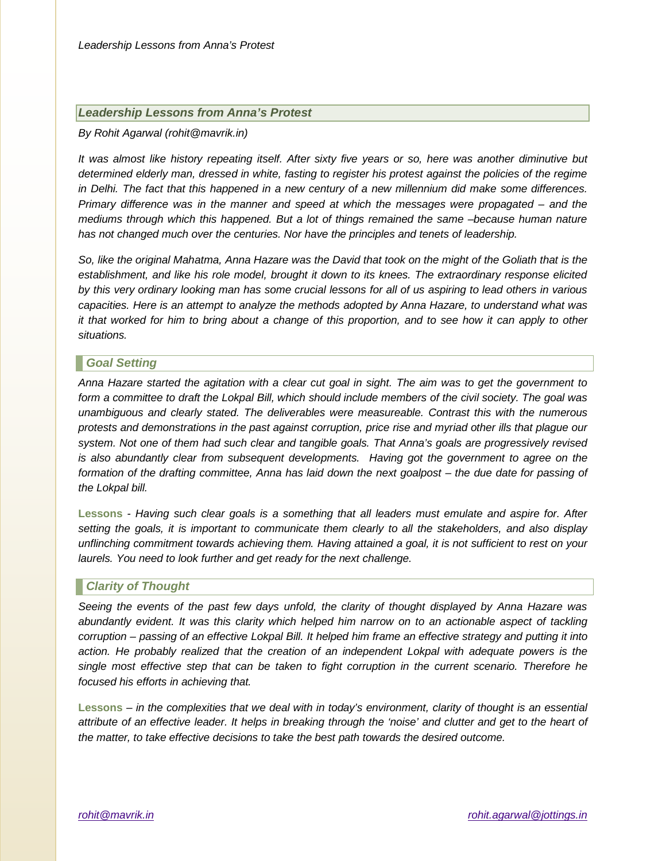## *Leadership Lessons from Anna's Protest*

#### *By Rohit Agarwal (rohit@mavrik.in)*

*It was almost like history repeating itself. After sixty five years or so, here was another diminutive but determined elderly man, dressed in white, fasting to register his protest against the policies of the regime in Delhi. The fact that this happened in a new century of a new millennium did make some differences. Primary difference was in the manner and speed at which the messages were propagated – and the mediums through which this happened. But a lot of things remained the same –because human nature has not changed much over the centuries. Nor have the principles and tenets of leadership.*

*So, like the original Mahatma, Anna Hazare was the David that took on the might of the Goliath that is the establishment, and like his role model, brought it down to its knees. The extraordinary response elicited by this very ordinary looking man has some crucial lessons for all of us aspiring to lead others in various capacities. Here is an attempt to analyze the methods adopted by Anna Hazare, to understand what was it that worked for him to bring about a change of this proportion, and to see how it can apply to other situations.*

## *Goal Setting*

*Anna Hazare started the agitation with a clear cut goal in sight. The aim was to get the government to form a committee to draft the Lokpal Bill, which should include members of the civil society. The goal was unambiguous and clearly stated. The deliverables were measureable. Contrast this with the numerous protests and demonstrations in the past against corruption, price rise and myriad other ills that plague our system. Not one of them had such clear and tangible goals. That Anna's goals are progressively revised is also abundantly clear from subsequent developments. Having got the government to agree on the formation of the drafting committee, Anna has laid down the next goalpost – the due date for passing of the Lokpal bill.* 

**Lessons** *- Having such clear goals is a something that all leaders must emulate and aspire for. After setting the goals, it is important to communicate them clearly to all the stakeholders, and also display unflinching commitment towards achieving them. Having attained a goal, it is not sufficient to rest on your laurels. You need to look further and get ready for the next challenge.*

## *Clarity of Thought*

*Seeing the events of the past few days unfold, the clarity of thought displayed by Anna Hazare was*  abundantly evident. It was this clarity which helped him narrow on to an actionable aspect of tackling *corruption – passing of an effective Lokpal Bill. It helped him frame an effective strategy and putting it into action. He probably realized that the creation of an independent Lokpal with adequate powers is the single most effective step that can be taken to fight corruption in the current scenario. Therefore he focused his efforts in achieving that.*

**Lessons** *– in the complexities that we deal with in today's environment, clarity of thought is an essential attribute of an effective leader. It helps in breaking through the 'noise' and clutter and get to the heart of the matter, to take effective decisions to take the best path towards the desired outcome.*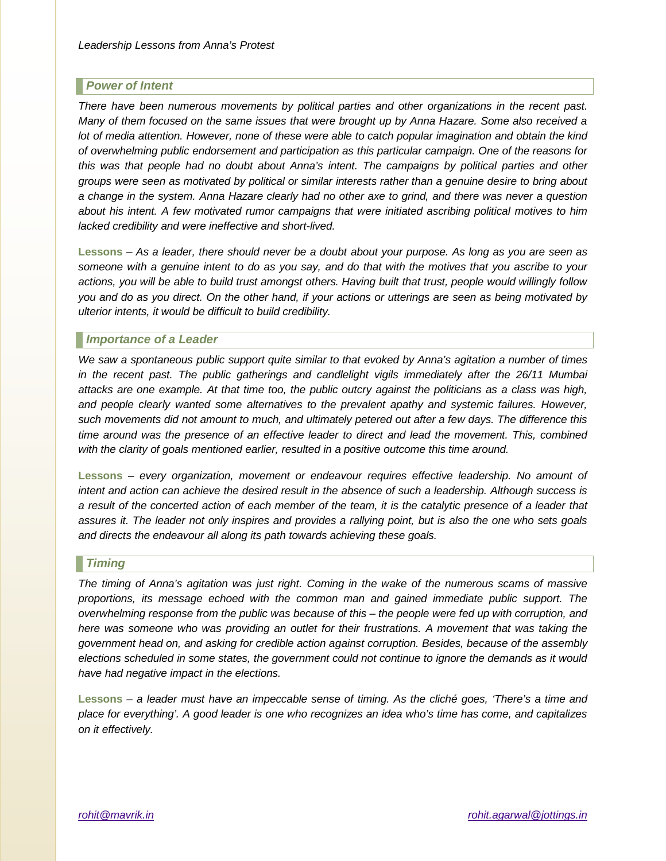# *Power of Intent*

*There have been numerous movements by political parties and other organizations in the recent past. Many of them focused on the same issues that were brought up by Anna Hazare. Some also received a lot of media attention. However, none of these were able to catch popular imagination and obtain the kind of overwhelming public endorsement and participation as this particular campaign. One of the reasons for this was that people had no doubt about Anna's intent. The campaigns by political parties and other groups were seen as motivated by political or similar interests rather than a genuine desire to bring about a change in the system. Anna Hazare clearly had no other axe to grind, and there was never a question about his intent. A few motivated rumor campaigns that were initiated ascribing political motives to him lacked credibility and were ineffective and short-lived.*

**Lessons** *– As a leader, there should never be a doubt about your purpose. As long as you are seen as someone with a genuine intent to do as you say, and do that with the motives that you ascribe to your actions, you will be able to build trust amongst others. Having built that trust, people would willingly follow you and do as you direct. On the other hand, if your actions or utterings are seen as being motivated by ulterior intents, it would be difficult to build credibility.*

## *Importance of a Leader*

*We saw a spontaneous public support quite similar to that evoked by Anna's agitation a number of times in the recent past. The public gatherings and candlelight vigils immediately after the 26/11 Mumbai attacks are one example. At that time too, the public outcry against the politicians as a class was high, and people clearly wanted some alternatives to the prevalent apathy and systemic failures. However, such movements did not amount to much, and ultimately petered out after a few days. The difference this time around was the presence of an effective leader to direct and lead the movement. This, combined with the clarity of goals mentioned earlier, resulted in a positive outcome this time around.*

**Lessons** *– every organization, movement or endeavour requires effective leadership. No amount of intent and action can achieve the desired result in the absence of such a leadership. Although success is a result of the concerted action of each member of the team, it is the catalytic presence of a leader that assures it. The leader not only inspires and provides a rallying point, but is also the one who sets goals and directs the endeavour all along its path towards achieving these goals.*

## *Timing*

*The timing of Anna's agitation was just right. Coming in the wake of the numerous scams of massive proportions, its message echoed with the common man and gained immediate public support. The overwhelming response from the public was because of this – the people were fed up with corruption, and here was someone who was providing an outlet for their frustrations. A movement that was taking the government head on, and asking for credible action against corruption. Besides, because of the assembly elections scheduled in some states, the government could not continue to ignore the demands as it would have had negative impact in the elections.*

**Lessons** *– a leader must have an impeccable sense of timing. As the cliché goes, 'There's a time and place for everything'. A good leader is one who recognizes an idea who's time has come, and capitalizes on it effectively.*